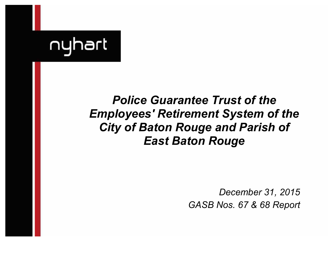

# *Police Guarantee Trust of the Employees' Retirement System of the City of Baton Rouge and Parish of East Baton Rouge*

*December 31, 2015 GASB Nos. 67 & 68 Report*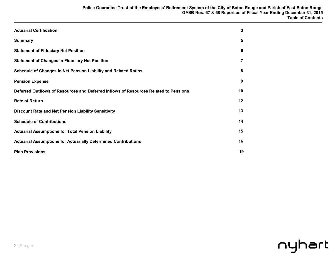| <b>Actuarial Certification</b>                                                       | 3  |
|--------------------------------------------------------------------------------------|----|
| <b>Summary</b>                                                                       | 5  |
| <b>Statement of Fiduciary Net Position</b>                                           | 6  |
| <b>Statement of Changes in Fiduciary Net Position</b>                                | 7  |
| Schedule of Changes in Net Pension Liability and Related Ratios                      | 8  |
| <b>Pension Expense</b>                                                               | 9  |
| Deferred Outflows of Resources and Deferred Inflows of Resources Related to Pensions | 10 |
| <b>Rate of Return</b>                                                                | 12 |
| <b>Discount Rate and Net Pension Liability Sensitivity</b>                           | 13 |
| <b>Schedule of Contributions</b>                                                     | 14 |
| <b>Actuarial Assumptions for Total Pension Liability</b>                             | 15 |
| <b>Actuarial Assumptions for Actuarially Determined Contributions</b>                | 16 |
| <b>Plan Provisions</b>                                                               | 19 |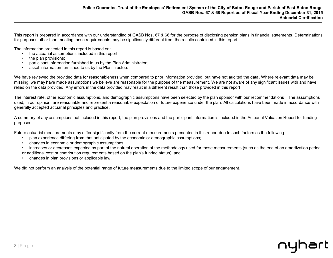This report is prepared in accordance with our understanding of GASB Nos. 67 & 68 for the purpose of disclosing pension plans in financial statements. Determinations for purposes other than meeting these requirements may be significantly different from the results contained in this report.

The information presented in this report is based on:

- the actuarial assumptions included in this report;
- the plan provisions:
- participant information furnished to us by the Plan Administrator;
- asset information furnished to us by the Plan Trustee.

We have reviewed the provided data for reasonableness when compared to prior information provided, but have not audited the data. Where relevant data may be missing, we may have made assumptions we believe are reasonable for the purpose of the measurement. We are not aware of any significant issues with and have relied on the data provided. Any errors in the data provided may result in a different result than those provided in this report.

The interest rate, other economic assumptions, and demographic assumptions have been selected by the plan sponsor with our recommendations. The assumptions used, in our opinion, are reasonable and represent a reasonable expectation of future experience under the plan. All calculations have been made in accordance with generally accepted actuarial principles and practice.

A summary of any assumptions not included in this report, the plan provisions and the participant information is included in the Actuarial Valuation Report for funding purposes.

Future actuarial measurements may differ significantly from the current measurements presented in this report due to such factors as the following

- plan experience differing from that anticipated by the economic or demographic assumptions;
- changes in economic or demographic assumptions;
- increases or decreases expected as part of the natural operation of the methodology used for these measurements (such as the end of an amortization period or additional cost or contribution requirements based on the plan's funded status); and
- changes in plan provisions or applicable law.

We did not perform an analysis of the potential range of future measurements due to the limited scope of our engagement.

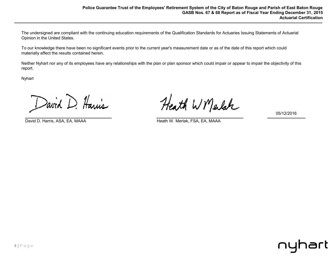The undersigned are compliant with the continuing education requirements of the Qualification Standards for Actuaries Issuing Statements of Actuarial Opinion in the United States.

To our knowledge there have been no significant events prior to the current year's measurement date or as of the date of this report which could materially affect the results contained herein.

Neither Nyhart nor any of its employees have any relationships with the plan or plan sponsor which could impair or appear to impair the objectivity of this report.

Nyhart

David D. Harris

David D. Harris, ASA, EA, MAAA **Heath W. Merlak, FSA, EA, MAAA** 

Heath W Marlak

05/12/2016

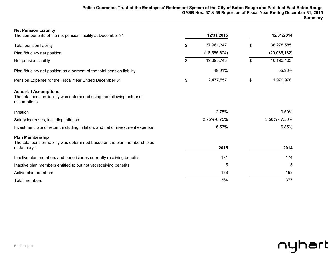| <b>Net Pension Liability</b><br>The components of the net pension liability at December 31                              | 12/31/2015       | 12/31/2014        |
|-------------------------------------------------------------------------------------------------------------------------|------------------|-------------------|
| <b>Total pension liability</b>                                                                                          | \$<br>37,961,347 | \$<br>36,278,585  |
| Plan fiduciary net position                                                                                             | (18, 565, 604)   | (20,085,182)      |
| Net pension liability                                                                                                   | \$<br>19,395,743 | \$<br>16,193,403  |
| Plan fiduciary net position as a percent of the total pension liability                                                 | 48.91%           | 55.36%            |
| Pension Expense for the Fiscal Year Ended December 31                                                                   | \$<br>2,477,557  | \$<br>1,979,978   |
| <b>Actuarial Assumptions</b><br>The total pension liability was determined using the following actuarial<br>assumptions |                  |                   |
| Inflation                                                                                                               | 2.75%            | 3.50%             |
| Salary increases, including inflation                                                                                   | 2.75%-6.75%      | $3.50\% - 7.50\%$ |
| Investment rate of return, including inflation, and net of investment expense                                           | 6.53%            | 6.85%             |
| <b>Plan Membership</b><br>The total pension liability was determined based on the plan membership as<br>of January 1    | 2015             | 2014              |
| Inactive plan members and beneficiaries currently receiving benefits                                                    | 171              | 174               |
| Inactive plan members entitled to but not yet receiving benefits                                                        | 5                | 5                 |
| Active plan members                                                                                                     | 188              | 198               |
| <b>Total members</b>                                                                                                    | 364              | 377               |

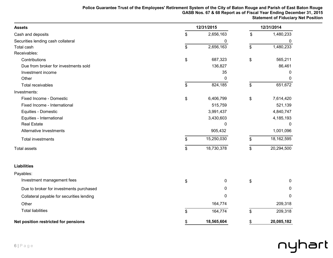| <b>Assets</b>                             | 12/31/2015       |      |              |
|-------------------------------------------|------------------|------|--------------|
| Cash and deposits                         | \$<br>2,656,163  | \$   | 1,480,233    |
| Securities lending cash collateral        | 0                |      | 0            |
| Total cash                                | \$<br>2,656,163  | \$   | 1,480,233    |
| Receivables:                              |                  |      |              |
| Contributions                             | \$<br>687,323    | $\,$ | 565,211      |
| Due from broker for investments sold      | 136,827          |      | 86,461       |
| Investment income                         | 35               |      | 0            |
| Other                                     | 0                |      | 0            |
| <b>Total receivables</b>                  | \$<br>824,185    | \$   | 651,672      |
| Investments:                              |                  |      |              |
| Fixed Income - Domestic                   | \$<br>6,406,799  | \$   | 7,614,420    |
| Fixed Income - International              | 515,759          |      | 521,139      |
| Equities - Domestic                       | 3,991,437        |      | 4,840,747    |
| Equities - International                  | 3,430,603        |      | 4,185,193    |
| <b>Real Estate</b>                        | 0                |      | 0            |
| <b>Alternative Investments</b>            | 905,432          |      | 1,001,096    |
| <b>Total investments</b>                  | \$<br>15,250,030 | \$   | 18,162,595   |
| <b>Total assets</b>                       | \$<br>18,730,378 | \$   | 20,294,500   |
| <b>Liabilities</b>                        |                  |      |              |
| Payables:                                 |                  |      |              |
| Investment management fees                | \$<br>0          | \$   | $\mathbf{0}$ |
| Due to broker for investments purchased   | 0                |      | 0            |
| Collateral payable for securities lending | 0                |      | 0            |
| Other                                     | 164,774          |      | 209,318      |
| <b>Total liabilities</b>                  | \$<br>164,774    | \$   | 209,318      |
| Net position restricted for pensions      | \$<br>18,565,604 | \$   | 20,085,182   |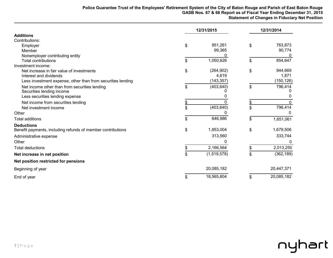|                                                             | 12/31/2015 |             | 12/31/2014 |            |  |
|-------------------------------------------------------------|------------|-------------|------------|------------|--|
| <b>Additions</b>                                            |            |             |            |            |  |
| Contributions:                                              |            |             |            |            |  |
| Employer                                                    | \$         | 951,261     | \$         | 763,873    |  |
| Member                                                      |            | 99,365      |            | 90,774     |  |
| Nonemployer contributing entity                             |            |             |            |            |  |
| <b>Total contributions</b>                                  | \$         | 1,050,626   | \$         | 854,647    |  |
| Investment income:                                          |            |             |            |            |  |
| Net increase in fair value of investments                   | \$         | (264, 902)  | \$         | 944,669    |  |
| Interest and dividends                                      |            | 4,619       |            | 1,871      |  |
| Less investment expense, other than from securities lending |            | (143, 357)  |            | (150, 126) |  |
| Net income other than from securities lending               | \$         | (403, 640)  | \$         | 796,414    |  |
| Securities lending income                                   |            |             |            |            |  |
| Less securities lending expense                             |            |             |            |            |  |
| Net income from securities lending                          |            |             |            |            |  |
| Net investment income                                       | \$         | (403, 640)  | \$         | 796,414    |  |
| Other                                                       |            |             |            |            |  |
| <b>Total additions</b>                                      | \$         | 646,986     | \$         | 1,651,061  |  |
| <b>Deductions</b>                                           |            |             |            |            |  |
| Benefit payments, including refunds of member contributions | \$         | 1,853,004   | \$         | 1,679,506  |  |
| Administrative expense                                      |            | 313,560     |            | 333,744    |  |
| Other                                                       |            |             |            | 0          |  |
| <b>Total deductions</b>                                     | \$         | 2,166,564   | \$         | 2,013,250  |  |
| Net increase in net position                                | \$         | (1,519,578) | \$         | (362, 189) |  |
| Net position restricted for pensions                        |            |             |            |            |  |
| Beginning of year                                           |            | 20,085,182  |            | 20,447,371 |  |
| End of year                                                 | \$         | 18,565,604  | \$         | 20,085,182 |  |

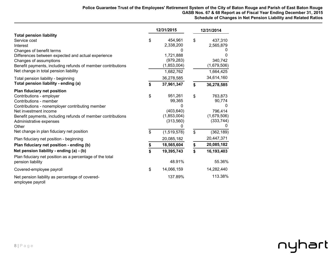|                                                                                                                                                                                                                                                                                                               |          | 12/31/2015                                                                           | 12/31/2014           |                                                                              |  |  |
|---------------------------------------------------------------------------------------------------------------------------------------------------------------------------------------------------------------------------------------------------------------------------------------------------------------|----------|--------------------------------------------------------------------------------------|----------------------|------------------------------------------------------------------------------|--|--|
| <b>Total pension liability</b><br>Service cost<br>Interest<br>Changes of benefit terms<br>Differences between expected and actual experience<br>Changes of assumptions<br>Benefit payments, including refunds of member contributions                                                                         | \$       | 454,961<br>2,338,200<br>0<br>1,721,888<br>(979, 283)<br>(1,853,004)                  | \$                   | 437,310<br>2,565,879<br>0<br>340,742<br>(1,679,506)                          |  |  |
| Net change in total pension liability                                                                                                                                                                                                                                                                         |          | 1,682,762                                                                            |                      | 1,664,425<br>34,614,160                                                      |  |  |
| Total pension liability - beginning<br>Total pension liability - ending (a)                                                                                                                                                                                                                                   | \$       | 36,278,585<br>37,961,347                                                             | \$                   | 36,278,585                                                                   |  |  |
| Plan fiduciary net position<br>Contributions - employer<br>Contributions - member<br>Contributions - nonemployer contributing member<br>Net investment income<br>Benefit payments, including refunds of member contributions<br>Administrative expenses<br>Other<br>Net change in plan fiduciary net position | \$<br>\$ | 951,261<br>99,365<br>0<br>(403, 640)<br>(1,853,004)<br>(313,560)<br>0<br>(1,519,578) | \$<br>$\mathfrak{S}$ | 763,873<br>90,774<br>0<br>796,414<br>(1,679,506)<br>(333, 744)<br>(362, 189) |  |  |
| Plan fiduciary net position - beginning                                                                                                                                                                                                                                                                       |          | 20,085,182                                                                           |                      | 20,447,371                                                                   |  |  |
| Plan fiduciary net position - ending (b)                                                                                                                                                                                                                                                                      | \$       | 18,565,604                                                                           | \$                   | 20,085,182                                                                   |  |  |
| Net pension liability - ending (a) - (b)<br>Plan fiduciary net position as a percentage of the total<br>pension liability                                                                                                                                                                                     | \$       | 19,395,743<br>48.91%                                                                 | \$                   | 16,193,403<br>55.36%                                                         |  |  |
| Covered-employee payroll                                                                                                                                                                                                                                                                                      | \$       | 14,066,159                                                                           |                      | 14,282,440                                                                   |  |  |
| Net pension liability as percentage of covered-<br>omploveo povroll                                                                                                                                                                                                                                           |          | 137.89%                                                                              |                      | 113.38%                                                                      |  |  |

employee payroll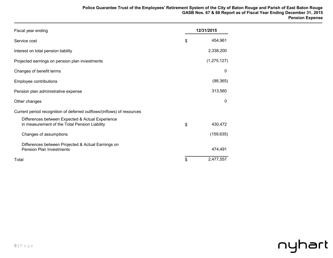| Fiscal year ending                                                                                | 12/31/2015 |             |
|---------------------------------------------------------------------------------------------------|------------|-------------|
| Service cost                                                                                      | \$         | 454,961     |
| Interest on total pension liability                                                               |            | 2,338,200   |
| Projected earnings on pension plan investments                                                    |            | (1,275,127) |
| Changes of benefit terms                                                                          |            | 0           |
| Employee contributions                                                                            |            | (99, 365)   |
| Pension plan administrative expense                                                               |            | 313,560     |
| Other changes                                                                                     |            | 0           |
| Current period recognition of deferred outflows/(inflows) of resources                            |            |             |
| Differences between Expected & Actual Experience<br>in measurement of the Total Pension Liability | \$         | 430,472     |
| Changes of assumptions                                                                            |            | (159, 635)  |
| Differences between Projected & Actual Earnings on<br><b>Pension Plan Investments</b>             |            | 474,491     |
| Total                                                                                             | \$         | 2,477,557   |

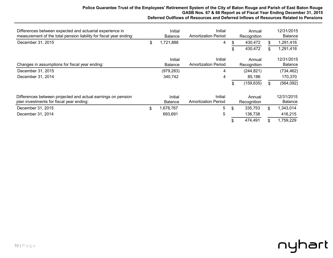#### **Police Guarantee Trust of the Employees' Retirement System of the City of Baton Rouge and Parish of East Baton Rouge GASB Nos. 67 & 68 Report as of Fiscal Year Ending December 31, 2015 Deferred Outflows of Resources and Deferred Inflows of Resources Related to Pensions**

| Differences between expected and actuarial experience in<br>measurement of the total pension liability for fiscal year ending: | Initial<br><b>Balance</b> | Initial<br><b>Amortization Period</b> | Annual<br>Recognition |     | 12/31/2015<br><b>Balance</b> |
|--------------------------------------------------------------------------------------------------------------------------------|---------------------------|---------------------------------------|-----------------------|-----|------------------------------|
| December 31, 2015                                                                                                              | \$<br>1,721,888           | 4                                     | \$<br>430,472         | \$. | 1,291,416                    |
|                                                                                                                                |                           |                                       | 430,472               | \$. | 1,291,416                    |
|                                                                                                                                | Initial                   | Initial                               | Annual                |     | 12/31/2015                   |
| Changes in assumptions for fiscal year ending:                                                                                 | <b>Balance</b>            | <b>Amortization Period</b>            | Recognition           |     | <b>Balance</b>               |
| December 31, 2015                                                                                                              | (979, 283)                | 4                                     | (244, 821)            |     | (734, 462)                   |
| December 31, 2014                                                                                                              | 340,742                   | 4                                     | 85,186                |     | 170,370                      |
|                                                                                                                                |                           |                                       | \$<br>(159, 635)      | \$. | (564, 092)                   |
| Differences between projected and actual earnings on pension<br>plan investments for fiscal year ending:                       | Initial<br><b>Balance</b> | Initial<br><b>Amortization Period</b> | Annual<br>Recognition |     | 12/31/2015<br><b>Balance</b> |
| December 31, 2015                                                                                                              | \$<br>,678,767            | 5                                     | \$<br>335,753         | \$  | 1,343,014                    |
| December 31, 2014                                                                                                              | 693,691                   | 5                                     | 138,738               |     | 416,215                      |
|                                                                                                                                |                           |                                       | 474,491               | \$  | 1,759,229                    |

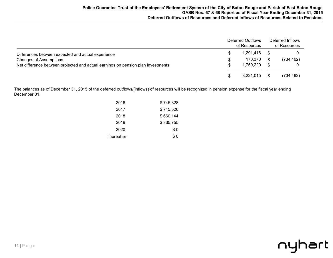|                                                                                  | Deferred Outflows<br>of Resources |     | Deferred Inflows<br>of Resources |  |
|----------------------------------------------------------------------------------|-----------------------------------|-----|----------------------------------|--|
| Differences between expected and actual experience                               | 1,291,416                         |     |                                  |  |
| <b>Changes of Assumptions</b>                                                    | 170.370                           | \$. | (734, 462)                       |  |
| Net difference between projected and actual earnings on pension plan investments | 1.759.229                         | S.  |                                  |  |
|                                                                                  | 3,221,015                         |     | (734,462)                        |  |

The balances as of December 31, 2015 of the deferred outflows/(inflows) of resources will be recognized in pension expense for the fiscal year ending December 31.

| 2016       | \$745,328 |
|------------|-----------|
| 2017       | \$745,326 |
| 2018       | \$660,144 |
| 2019       | \$335,755 |
| 2020       | \$0       |
| Thereafter | \$ 0      |

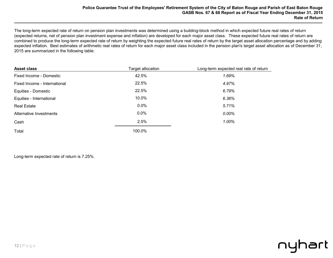The long-term expected rate of return on pension plan investments was determined using a building-block method in which expected future real rates of return (expected returns, net of pension plan investment expense and inflation) are developed for each major asset class. These expected future real rates of return are combined to produce the long-term expected rate of return by weighting the expected future real rates of return by the target asset allocation percentage and by adding expected inflation. Best estimates of arithmetic real rates of return for each major asset class included in the pension plan's target asset allocation as of December 31, 2015 are summarized in the following table:

| <b>Asset class</b>           | Target allocation | Long-term expected real rate of return |
|------------------------------|-------------------|----------------------------------------|
| Fixed Income - Domestic      | 42.5%             | 1.69%                                  |
| Fixed Income - International | 22.5%             | 4.97%                                  |
| Equities - Domestic          | 22.5%             | 6.79%                                  |
| Equities - International     | 10.0%             | 6.36%                                  |
| <b>Real Estate</b>           | $0.0\%$           | 5.71%                                  |
| Alternative Investments      | $0.0\%$           | 0.00%                                  |
| Cash                         | 2.5%              | 1.00%                                  |
| Total                        | 100.0%            |                                        |

Long-term expected rate of return is 7.25%.

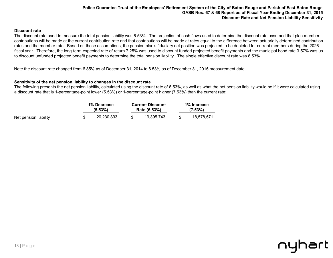#### **Discount rate**

The discount rate used to measure the total pension liability was 6.53%. The projection of cash flows used to determine the discount rate assumed that plan member contributions will be made at the current contribution rate and that contributions will be made at rates equal to the difference between actuarially determined contribution rates and the member rate. Based on those assumptions, the pension plan's fiduciary net position was projected to be depleted for current members during the 2026 fiscal year. Therefore, the long-term expected rate of return 7.25% was used to discount funded projected benefit payments and the municipal bond rate 3.57% was us to discount unfunded projected benefit payments to determine the total pension liability. The single effective discount rate was 6.53%.

Note the discount rate changed from 6.85% as of December 31, 2014 to 6.53% as of December 31, 2015 measurement date.

#### **Sensitivity of the net pension liability to changes in the discount rate**

The following presents the net pension liability, calculated using the discount rate of 6.53%, as well as what the net pension liability would be if it were calculated using a discount rate that is 1-percentage-point lower (5.53%) or 1-percentage-point higher (7.53%) than the current rate:

| 1% Decrease           |  |            | <b>Current Discount</b> |            |  | 1% Increase |
|-----------------------|--|------------|-------------------------|------------|--|-------------|
| $(5.53\%)$            |  |            | Rate (6.53%)            |            |  | $(7.53\%)$  |
| Net pension liability |  | 20.230.893 |                         | 19.395.743 |  | 18.578.571  |

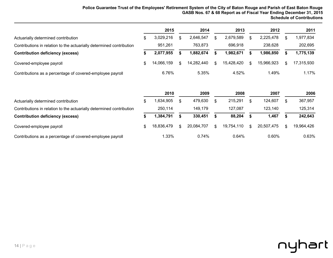|                                                                      |     | 2015       | 2014       | 2013       |     | 2012       |     | 2011       |
|----------------------------------------------------------------------|-----|------------|------------|------------|-----|------------|-----|------------|
| Actuarially determined contribution                                  |     | 3,029,216  | 2,646,547  | 2.679.589  |     | 2,225,478  |     | 977,834    |
| Contributions in relation to the actuarially determined contribution |     | 951,261    | 763,873    | 696.918    |     | 238,628    |     | 202,695    |
| <b>Contribution deficiency (excess)</b>                              |     | 2,077,955  | 1.882.674  | .982.671   |     | 1,986,850  |     | 1,775,139  |
| Covered-employee payroll                                             | \$. | 14.066.159 | 14.282.440 | 15.428.420 | \$. | 15,966,923 | \$. | 17.315.930 |
| Contributions as a percentage of covered-employee payroll            |     | 6.76%      | 5.35%      | 4.52%      |     | 1.49%      |     | 1.17%      |

|                                                                      | 2010       |     | 2009       |    | 2008       |   | 2007       |   | 2006       |
|----------------------------------------------------------------------|------------|-----|------------|----|------------|---|------------|---|------------|
| Actuarially determined contribution                                  | 1,634,905  |     | 479.630    |    | 215,291    |   | 124,607    |   | 367,957    |
| Contributions in relation to the actuarially determined contribution | 250.114    |     | 149.179    |    | 127.087    |   | 123,140    |   | 125,314    |
| <b>Contribution deficiency (excess)</b>                              | 1,384,791  |     | 330,451    |    | 88,204     |   | 1,467      |   | 242,643    |
| Covered-employee payroll                                             | 18.836.479 | \$. | 20,084,707 | £. | 19,754,110 | R | 20.507.475 | ደ | 19,964,426 |
| Contributions as a percentage of covered-employee payroll            | 1.33%      |     | 0.74%      |    | $0.64\%$   |   | 0.60%      |   | 0.63%      |

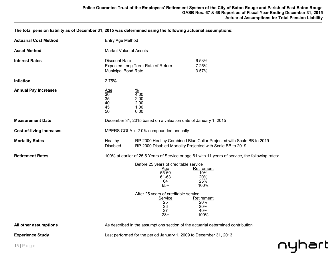**The total pension liability as of December 31, 2015 was determined using the following actuarial assumptions:** 

| <b>Actuarial Cost Method</b>    | Entry Age Method                                                                        |                                                                                                                                                              |                                                                                                   |        |  |
|---------------------------------|-----------------------------------------------------------------------------------------|--------------------------------------------------------------------------------------------------------------------------------------------------------------|---------------------------------------------------------------------------------------------------|--------|--|
| <b>Asset Method</b>             | <b>Market Value of Assets</b>                                                           |                                                                                                                                                              |                                                                                                   |        |  |
| <b>Interest Rates</b>           | <b>Discount Rate</b><br>Expected Long Term Rate of Return<br><b>Municipal Bond Rate</b> |                                                                                                                                                              | 6.53%<br>7.25%<br>3.57%                                                                           |        |  |
| Inflation                       | 2.75%                                                                                   |                                                                                                                                                              |                                                                                                   |        |  |
| <b>Annual Pay Increases</b>     | $\frac{\text{Age}}{30}$<br>35<br>40<br>45<br>50                                         | $\frac{\%}{4.00}$<br>2.00<br>2.00<br>1.00<br>0.00                                                                                                            |                                                                                                   |        |  |
| <b>Measurement Date</b>         | December 31, 2015 based on a valuation date of January 1, 2015                          |                                                                                                                                                              |                                                                                                   |        |  |
| <b>Cost-of-living Increases</b> | MPERS COLA is 2.0% compounded annually                                                  |                                                                                                                                                              |                                                                                                   |        |  |
| <b>Mortality Rates</b>          | Healthy<br><b>Disabled</b>                                                              | RP-2000 Disabled Mortality Projected with Scale BB to 2019                                                                                                   | RP-2000 Healthy Combined Blue Collar Projected with Scale BB to 2019                              |        |  |
| <b>Retirement Rates</b>         |                                                                                         |                                                                                                                                                              | 100% at earlier of 25.5 Years of Service or age 61 with 11 years of service, the following rates: |        |  |
|                                 |                                                                                         | Before 25 years of creditable service<br>$\frac{\text{Age}}{\text{55-60}}$<br>61-63<br>64<br>$65+$<br>After 25 years of creditable service<br><b>Service</b> | Retirement<br>10%<br>20%<br>25%<br>100%<br>Retirement                                             |        |  |
|                                 |                                                                                         | 25<br>26<br>27<br>$28+$                                                                                                                                      | 20%<br>30%<br>40%<br>100%                                                                         |        |  |
| All other assumptions           |                                                                                         | As described in the assumptions section of the actuarial determined contribution                                                                             |                                                                                                   |        |  |
| <b>Experience Study</b>         |                                                                                         | Last performed for the period January 1, 2009 to December 31, 2013                                                                                           |                                                                                                   |        |  |
| $15$   Page                     |                                                                                         |                                                                                                                                                              |                                                                                                   | nyhart |  |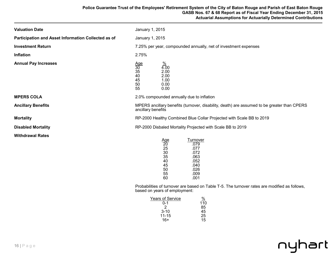| <b>Valuation Date</b>                               | January 1, 2015                                                                                                                                                                                                                                                                               |
|-----------------------------------------------------|-----------------------------------------------------------------------------------------------------------------------------------------------------------------------------------------------------------------------------------------------------------------------------------------------|
| Participation and Asset Information Collected as of | January 1, 2015                                                                                                                                                                                                                                                                               |
| <b>Investment Return</b>                            | 7.25% per year, compounded annually, net of investment expenses                                                                                                                                                                                                                               |
| <b>Inflation</b>                                    | 2.75%                                                                                                                                                                                                                                                                                         |
| <b>Annual Pay Increases</b>                         | $\frac{\%}{4.00}$<br>$\frac{\text{Age}}{30}$<br>35<br>2.00<br>40<br>2.00<br>45<br>1.00<br>50<br>0.00<br>55<br>0.00                                                                                                                                                                            |
| <b>MPERS COLA</b>                                   | 2.0% compounded annually due to inflation                                                                                                                                                                                                                                                     |
| <b>Ancillary Benefits</b>                           | MPERS ancillary benefits (turnover, disability, death) are assumed to be greater than CPERS<br>ancillary benefits                                                                                                                                                                             |
| <b>Mortality</b>                                    | RP-2000 Healthy Combined Blue Collar Projected with Scale BB to 2019                                                                                                                                                                                                                          |
| <b>Disabled Mortality</b>                           | RP-2000 Disbaled Mortality Projected with Scale BB to 2019                                                                                                                                                                                                                                    |
| <b>Withdrawal Rates</b>                             | Turnover<br>$\frac{\text{Age}}{20}$<br>.079<br>25<br>.077<br>30<br>.072<br>35<br>.063<br>40<br>.052<br>45<br>.040<br>.026<br>50<br>55<br>.009<br>60<br>.001<br>Probabilities of turnover are based on Table T-5. The turnover rates are modified as follows,<br>based on years of employment: |

| <b>Years of Service</b> | <u>%</u> |
|-------------------------|----------|
| 0-1                     | 110      |
| 2                       | 85       |
| $3 - 10$                | 45       |
| $11 - 15$               | 25       |
| $16+$                   | 15       |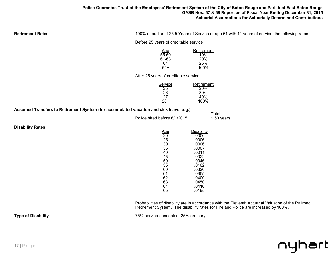| <b>Retirement Rates</b>                                                                |                                                                                                                                                          | 100% at earlier of 25.5 Years of Service or age 61 with 11 years of service, the following rates:                                               |  |  |
|----------------------------------------------------------------------------------------|----------------------------------------------------------------------------------------------------------------------------------------------------------|-------------------------------------------------------------------------------------------------------------------------------------------------|--|--|
|                                                                                        | Before 25 years of creditable service                                                                                                                    |                                                                                                                                                 |  |  |
|                                                                                        | $\frac{\text{Age}}{55-60}$<br>61-63<br>64<br>$65+$                                                                                                       | Retirement<br>10%<br>20%<br>25%<br>100%                                                                                                         |  |  |
|                                                                                        | After 25 years of creditable service                                                                                                                     |                                                                                                                                                 |  |  |
|                                                                                        | Service<br>25<br>26<br>27<br>$28+$                                                                                                                       | Retirement<br>20%<br>30%<br>40%<br>100%                                                                                                         |  |  |
| Assumed Transfers to Retirement System (for accumulated vacation and sick leave, e.g.) |                                                                                                                                                          |                                                                                                                                                 |  |  |
|                                                                                        | Police hired before 6/1/2015                                                                                                                             | <b>Total</b><br>$1.50$ years                                                                                                                    |  |  |
| <b>Disability Rates</b>                                                                | $\frac{\text{Age}}{20}$<br>$\frac{25}{30}$<br>$\frac{35}{35}$<br>40<br>45<br>$\begin{array}{c} 50 \\ 55 \end{array}$<br>60<br>61<br>62<br>63<br>64<br>65 | <b>Disability</b><br>.0006<br>.0006<br>.0006<br>.0007<br>.0011<br>.0022<br>.0046<br>.0102<br>.0320<br>.0355<br>.0400<br>.0450<br>.0410<br>.0195 |  |  |

Probabilities of disability are in accordance with the Eleventh Actuarial Valuation of the Railroad Retirement System. The disability rates for Fire and Police are increased by 100%.

**Type of Disability** Type of Disability **Type of Disability** 25% service-connected, 25% ordinary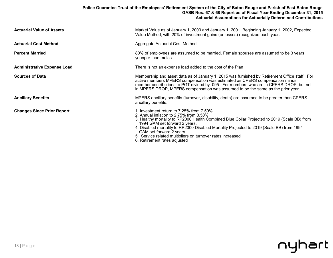| <b>Actuarial Value of Assets</b>   | Market Value as of January 1, 2000 and January 1, 2001. Beginning January 1, 2002, Expected<br>Value Method, with 20% of investment gains (or losses) recognized each year.                                                                                                                                                                                                                                       |
|------------------------------------|-------------------------------------------------------------------------------------------------------------------------------------------------------------------------------------------------------------------------------------------------------------------------------------------------------------------------------------------------------------------------------------------------------------------|
| <b>Actuarial Cost Method</b>       | Aggregate Actuarial Cost Method                                                                                                                                                                                                                                                                                                                                                                                   |
| <b>Percent Married</b>             | 80% of employees are assumed to be married. Female spouses are assumed to be 3 years<br>younger than males.                                                                                                                                                                                                                                                                                                       |
| <b>Administrative Expense Load</b> | There is not an expense load added to the cost of the Plan                                                                                                                                                                                                                                                                                                                                                        |
| <b>Sources of Data</b>             | Membership and asset data as of January 1, 2015 was furnished by Retirement Office staff. For<br>active members MPERS compensation was estimated as CPERS compensation minus<br>member contributions to PGT divided by 0.95. For members who are in CPERS DROP, but not<br>in MPERS DROP, MPERS compensation was assumed to be the same as the prior year.                                                        |
| <b>Ancillary Benefits</b>          | MPERS ancillary benefits (turnover, disability, death) are assumed to be greater than CPERS<br>ancillary benefits.                                                                                                                                                                                                                                                                                                |
| <b>Changes Since Prior Report</b>  | 1. Investment return to 7.25% from 7.50%<br>2. Annual inflation to $2.75\%$ from $3.50\%$<br>3. Healthy mortality to RP2000 Health Combined Blue Collar Projected to 2019 (Scale BB) from<br>1994 GAM set forward 2 years.<br>4. Disabled mortality to RP2000 Disabled Mortality Projected to 2019 (Scale BB) from 1994<br>GAM set forward 2 years.<br>5. Service related multipliers on turnover rates increased |

6. Retirement rates adjusted

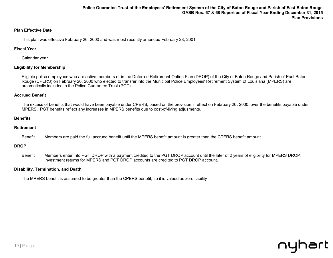# **Plan Effective Date**

This plan was effective February 26, 2000 and was most recently amended February 28, 2001

# **Fiscal Year**

Calendar year

# **Eligibility for Membership**

Eligible police employees who are active members or in the Deferred Retirement Option Plan (DROP) of the City of Baton Rouge and Parish of East Baton Rouge (CPERS) on February 26, 2000 who elected to transfer into the Municipal Police Employees' Retirement System of Louisiana (MPERS) are automatically included in the Police Guarantee Trust (PGT)

# **Accrued Benefit**

The excess of benefits that would have been payable under CPERS, based on the provision in effect on February 26, 2000, over the benefits payable under MPERS. PGT benefits reflect any increases in MPERS benefits due to cost-of-living adjusments.

### **Benefits**

# **Retirement**

Benefit Members are paid the full accrued benefit until the MPERS benefit amount is greater than the CPERS benefit amount

### **DROP**

Benefit Members enter into PGT DROP with a payment credited to the PGT DROP account until the later of 2 years of eligibility for MPERS DROP. Investment returns for MPERS and PGT DROP accounts are credited to PGT DROP account.

### **Disability, Termination, and Death**

The MPERS benefit is assumed to be greater than the CPERS benefit, so it is valued as zero liability